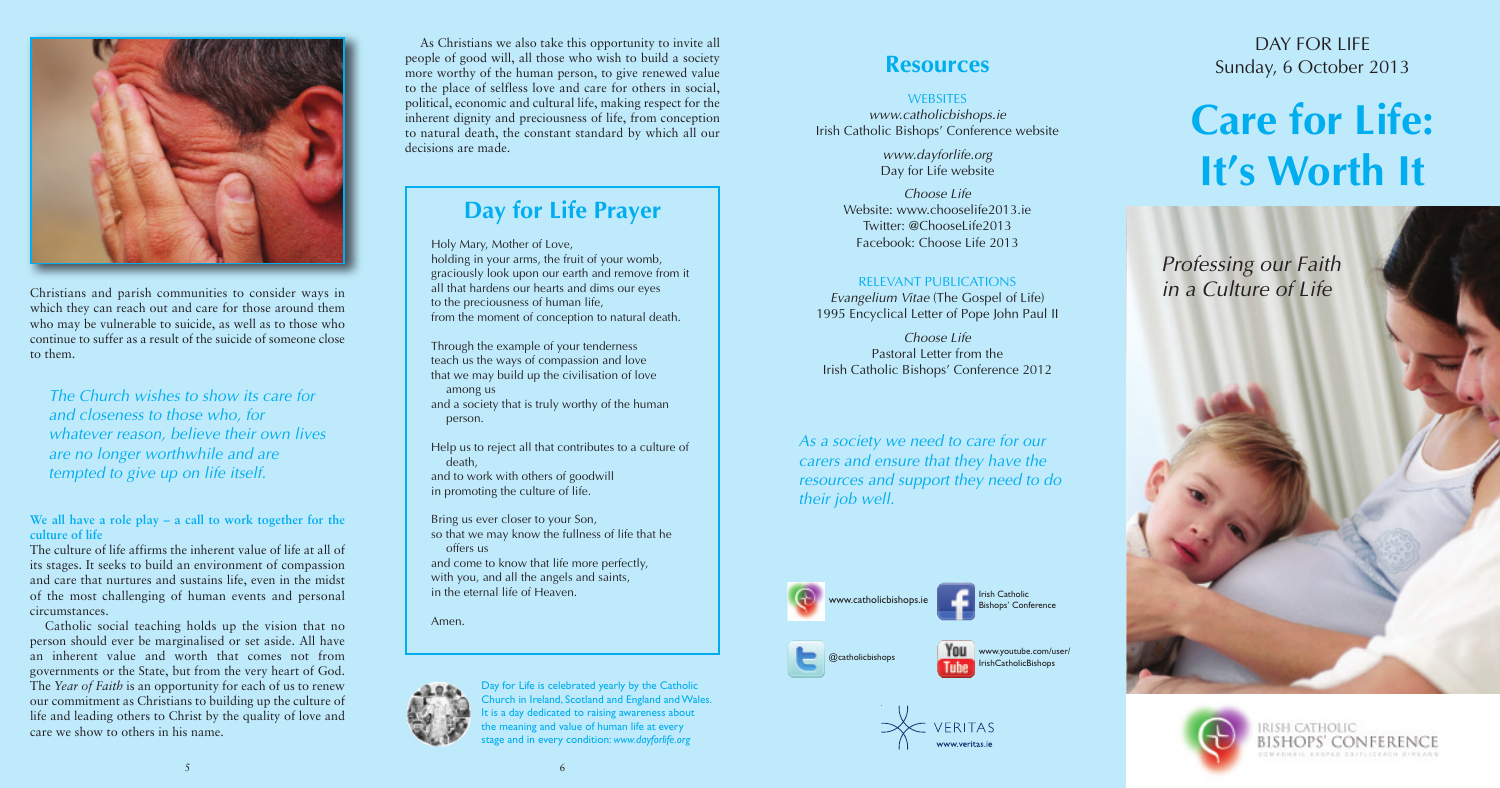

www.youtube.com/user/ IrishCatholicBishops





@catholicbishops



Christians and parish communities to consider ways in which they can reach out and care for those around them who may be vulnerable to suicide, as well as to those who continue to suffer as a result of the suicide of someone close to them.

**We all have a role play – a call to work together for the culture of life**

The culture of life affirms the inherent value of life at all of its stages. It seeks to build an environment of compassion and care that nurtures and sustains life, even in the midst of the most challenging of human events and personal circumstances.

## DAY FOR LIFF Sunday, 6 October 2013

Catholic social teaching holds up the vision that no person should ever be marginalised or set aside. All have an inherent value and worth that comes not from governments or the State, but from the very heart of God. The *Year of Faith* is an opportunity for each of us to renew our commitment as Christians to building up the culture of life and leading others to Christ by the quality of love and care we show to others in his name.

# **Care for Life: It's Worth It**

*Professing our Faith in a Culture of Life*



RISH CATHOLIC BISHOPS' CONFERENCE **SMACHAIL EASPAR CAITLICEACH ÉIREARI** 

Holy Mary, Mother of Love, holding in your arms, the fruit of your womb, graciously look upon our earth and remove from it all that hardens our hearts and dims our eyes to the preciousness of human life, from the moment of conception to natural death.

Through the example of your tenderness teach us the ways of compassion and love that we may build up the civilisation of love among us and a society that is truly worthy of the human

person.

Help us to reject all that contributes to a culture of death, and to work with others of goodwill in promoting the culture of life.

Bring us ever closer to your Son, so that we may know the fullness of life that he offers us and come to know that life more perfectly, with you, and all the angels and saints, in the eternal life of Heaven.

Amen.



# **Day for Life Prayer**

*www.catholicbishops.ie* Irish Catholic Bishops' Conference website

> *www.dayforlife.org* Day for Life website

*Choose Life* Website: www.chooselife2013.ie Twitter: @ChooseLife2013 Facebook: Choose Life 2013

## RELEVANT PUBLICATIONS

*Evangelium Vitae* (The Gospel of Life) 1995 Encyclical Letter of Pope John Paul II

*Choose Life* Pastoral Letter from the Irish Catholic Bishops' Conference 2012

5

*The Church wishes to show its care for and closeness to those who, for whatever reason, believe their own lives are no longer worthwhile and are tempted to give up on life itself.*

*As a society we need to care for our carers and ensure that they have the resources and support they need to do their job well.*

As Christians we also take this opportunity to invite all people of good will, all those who wish to build a society more worthy of the human person, to give renewed value to the place of selfless love and care for others in social, political, economic and cultural life, making respect for the inherent dignity and preciousness of life, from conception to natural death, the constant standard by which all our decisions are made.

> Day for Life is celebrated yearly by the Catholic Church in Ireland, Scotland and England andWales. It is a day dedicated to raising awareness about the meaning and value of human life at every stage and in every condition: *www.dayforlife.org*

## **Resources**

### **WEBSITES**